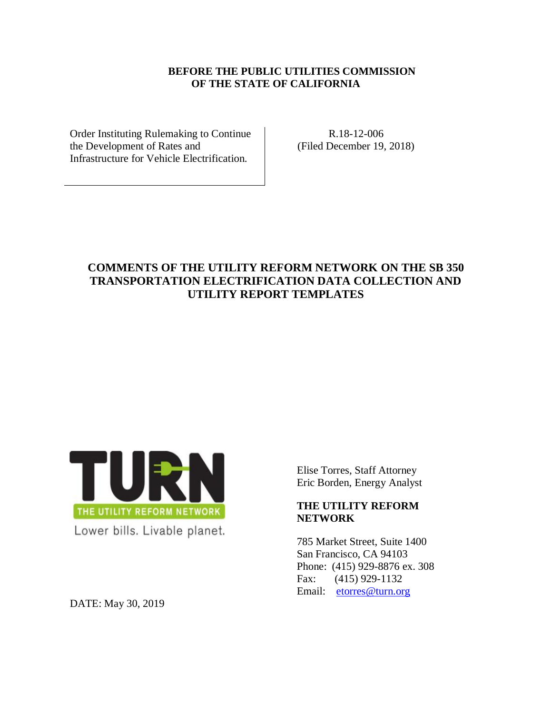### **BEFORE THE PUBLIC UTILITIES COMMISSION OF THE STATE OF CALIFORNIA**

Order Instituting Rulemaking to Continue the Development of Rates and Infrastructure for Vehicle Electrification.

R.18-12-006 (Filed December 19, 2018)

# **COMMENTS OF THE UTILITY REFORM NETWORK ON THE SB 350 TRANSPORTATION ELECTRIFICATION DATA COLLECTION AND UTILITY REPORT TEMPLATES**



Elise Torres, Staff Attorney Eric Borden, Energy Analyst

## **THE UTILITY REFORM NETWORK**

785 Market Street, Suite 1400 San Francisco, CA 94103 Phone: (415) 929-8876 ex. 308 Fax: (415) 929-1132 Email: [etorres@turn.org](mailto:marcel@turn.org)

DATE: May 30, 2019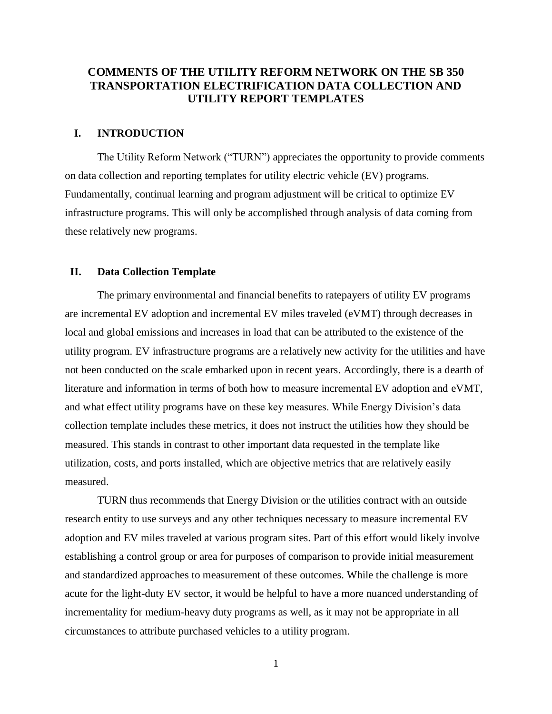## **COMMENTS OF THE UTILITY REFORM NETWORK ON THE SB 350 TRANSPORTATION ELECTRIFICATION DATA COLLECTION AND UTILITY REPORT TEMPLATES**

### **I. INTRODUCTION**

The Utility Reform Network ("TURN") appreciates the opportunity to provide comments on data collection and reporting templates for utility electric vehicle (EV) programs. Fundamentally, continual learning and program adjustment will be critical to optimize EV infrastructure programs. This will only be accomplished through analysis of data coming from these relatively new programs.

### **II. Data Collection Template**

The primary environmental and financial benefits to ratepayers of utility EV programs are incremental EV adoption and incremental EV miles traveled (eVMT) through decreases in local and global emissions and increases in load that can be attributed to the existence of the utility program. EV infrastructure programs are a relatively new activity for the utilities and have not been conducted on the scale embarked upon in recent years. Accordingly, there is a dearth of literature and information in terms of both how to measure incremental EV adoption and eVMT, and what effect utility programs have on these key measures. While Energy Division's data collection template includes these metrics, it does not instruct the utilities how they should be measured. This stands in contrast to other important data requested in the template like utilization, costs, and ports installed, which are objective metrics that are relatively easily measured.

TURN thus recommends that Energy Division or the utilities contract with an outside research entity to use surveys and any other techniques necessary to measure incremental EV adoption and EV miles traveled at various program sites. Part of this effort would likely involve establishing a control group or area for purposes of comparison to provide initial measurement and standardized approaches to measurement of these outcomes. While the challenge is more acute for the light-duty EV sector, it would be helpful to have a more nuanced understanding of incrementality for medium-heavy duty programs as well, as it may not be appropriate in all circumstances to attribute purchased vehicles to a utility program.

1